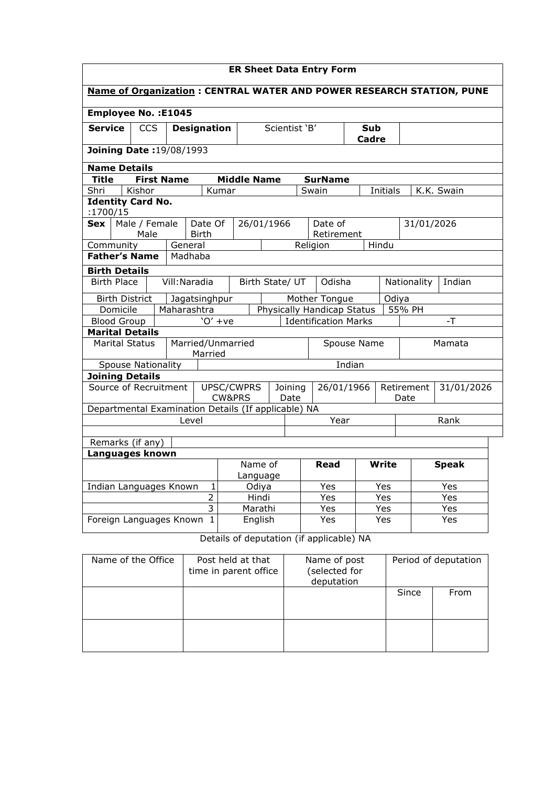| <b>ER Sheet Data Entry Form</b>                                                     |                                                                                           |                          |                 |                                  |                                                                      |     |            |            |            |  |
|-------------------------------------------------------------------------------------|-------------------------------------------------------------------------------------------|--------------------------|-----------------|----------------------------------|----------------------------------------------------------------------|-----|------------|------------|------------|--|
| Name of Organization : CENTRAL WATER AND POWER RESEARCH STATION, PUNE               |                                                                                           |                          |                 |                                  |                                                                      |     |            |            |            |  |
| <b>Employee No.: E1045</b>                                                          |                                                                                           |                          |                 |                                  |                                                                      |     |            |            |            |  |
| <b>Service</b><br>Scientist 'B'<br><b>CCS</b><br><b>Designation</b><br>Sub<br>Cadre |                                                                                           |                          |                 |                                  |                                                                      |     |            |            |            |  |
| <b>Joining Date: 19/08/1993</b>                                                     |                                                                                           |                          |                 |                                  |                                                                      |     |            |            |            |  |
| <b>Name Details</b>                                                                 |                                                                                           |                          |                 |                                  |                                                                      |     |            |            |            |  |
| <b>Title</b><br><b>First Name</b>                                                   |                                                                                           | <b>Middle Name</b>       |                 |                                  | <b>SurName</b>                                                       |     |            |            |            |  |
| Kishor<br>Shri                                                                      | Kumar                                                                                     |                          |                 | Swain                            |                                                                      |     | Initials   |            | K.K. Swain |  |
| <b>Identity Card No.</b><br>:1700/15                                                |                                                                                           |                          |                 |                                  |                                                                      |     |            |            |            |  |
| Male / Female<br>Sex                                                                | Date Of                                                                                   | 26/01/1966               |                 |                                  | Date of                                                              |     |            | 31/01/2026 |            |  |
| Male<br><b>Birth</b>                                                                |                                                                                           |                          |                 |                                  | Retirement                                                           |     |            |            |            |  |
| Community<br>General                                                                |                                                                                           |                          |                 | Religion                         |                                                                      |     | Hindu      |            |            |  |
| <b>Father's Name</b><br>Madhaba                                                     |                                                                                           |                          |                 |                                  |                                                                      |     |            |            |            |  |
| <b>Birth Details</b>                                                                |                                                                                           |                          |                 |                                  |                                                                      |     |            |            |            |  |
|                                                                                     | Vill: Naradia<br><b>Birth Place</b><br>Odisha<br>Birth State/ UT<br>Nationality<br>Indian |                          |                 |                                  |                                                                      |     |            |            |            |  |
| <b>Birth District</b><br>Jagatsinghpur<br>Mother Tongue<br>Odiya                    |                                                                                           |                          |                 |                                  |                                                                      |     |            |            |            |  |
| Domicile<br>Maharashtra<br>Physically Handicap Status<br>55% PH                     |                                                                                           |                          |                 |                                  |                                                                      |     |            |            |            |  |
| <b>Blood Group</b><br>$'O'$ +ve<br><b>Identification Marks</b><br>$-T$              |                                                                                           |                          |                 |                                  |                                                                      |     |            |            |            |  |
| <b>Marital Details</b>                                                              |                                                                                           |                          |                 |                                  |                                                                      |     |            |            |            |  |
| <b>Marital Status</b>                                                               | Married/Unmarried<br>Married                                                              |                          |                 |                                  | Spouse Name                                                          |     |            |            | Mamata     |  |
| <b>Spouse Nationality</b>                                                           |                                                                                           |                          |                 |                                  | Indian                                                               |     |            |            |            |  |
| <b>Joining Details</b>                                                              |                                                                                           |                          |                 |                                  |                                                                      |     |            |            |            |  |
| Source of Recruitment                                                               | UPSC/CWPRS<br><b>CW&amp;PRS</b>                                                           |                          | Joining<br>Date | 26/01/1966<br>Retirement<br>Date |                                                                      |     | 31/01/2026 |            |            |  |
| Departmental Examination Details (If applicable) NA                                 |                                                                                           |                          |                 |                                  |                                                                      |     |            |            |            |  |
| Level                                                                               |                                                                                           |                          |                 |                                  | Year                                                                 |     |            |            | Rank       |  |
|                                                                                     |                                                                                           |                          |                 |                                  |                                                                      |     |            |            |            |  |
| Remarks (if any)                                                                    |                                                                                           |                          |                 |                                  |                                                                      |     |            |            |            |  |
| Languages known                                                                     |                                                                                           |                          |                 |                                  |                                                                      |     |            |            |            |  |
| Name of<br>Write<br><b>Speak</b><br>Read<br>Language                                |                                                                                           |                          |                 |                                  |                                                                      |     |            |            |            |  |
| $\mathbf{1}$<br>Indian Languages Known<br>Odiya                                     |                                                                                           |                          |                 | Yes                              |                                                                      | Yes |            |            | Yes        |  |
|                                                                                     | $\overline{2}$                                                                            | Hindi                    |                 |                                  | Yes                                                                  | Yes |            |            | Yes        |  |
|                                                                                     | 3<br>Marathi                                                                              |                          |                 | Yes<br>Yes                       |                                                                      |     | Yes        |            |            |  |
| Foreign Languages Known                                                             | $\mathbf{1}$                                                                              | English<br>$\sim$ $\sim$ |                 | $\cdots$                         | Yes<br>$\sim$<br>$\mathbf{r}$ $\mathbf{r}$ $\mathbf{r}$ $\mathbf{r}$ |     | Yes        |            | Yes        |  |

Details of deputation (if applicable) NA

| Name of the Office | Post held at that<br>time in parent office | Name of post<br>(selected for<br>deputation |       | Period of deputation |
|--------------------|--------------------------------------------|---------------------------------------------|-------|----------------------|
|                    |                                            |                                             | Since | From                 |
|                    |                                            |                                             |       |                      |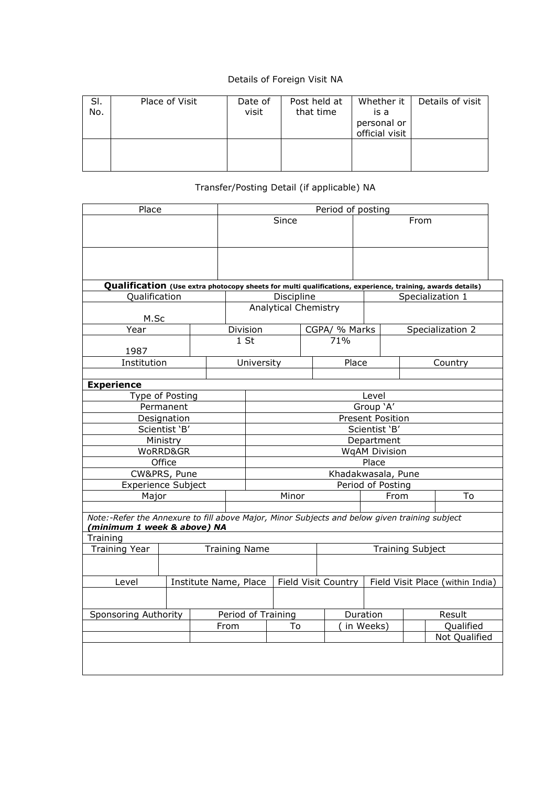## Details of Foreign Visit NA

| SI.<br>No. | Place of Visit | Date of<br>visit | Post held at<br>that time | Whether it<br>is a<br>personal or<br>official visit | Details of visit |
|------------|----------------|------------------|---------------------------|-----------------------------------------------------|------------------|
|            |                |                  |                           |                                                     |                  |

## Transfer/Posting Detail (if applicable) NA

| Place                                                                                                                        |                 | Period of posting |                       |                                         |                             |               |                         |       |                                                        |                  |
|------------------------------------------------------------------------------------------------------------------------------|-----------------|-------------------|-----------------------|-----------------------------------------|-----------------------------|---------------|-------------------------|-------|--------------------------------------------------------|------------------|
|                                                                                                                              |                 |                   |                       | Since                                   |                             |               |                         | From  |                                                        |                  |
|                                                                                                                              |                 |                   |                       |                                         |                             |               |                         |       |                                                        |                  |
| Qualification (Use extra photocopy sheets for multi qualifications, experience, training, awards details)                    |                 |                   |                       |                                         |                             |               |                         |       |                                                        |                  |
| Qualification                                                                                                                |                 |                   |                       |                                         | Discipline                  |               |                         |       |                                                        | Specialization 1 |
| M.Sc                                                                                                                         |                 |                   |                       |                                         | <b>Analytical Chemistry</b> |               |                         |       |                                                        |                  |
| $\overline{Y}$ ear                                                                                                           |                 |                   | Division              |                                         |                             | CGPA/ % Marks |                         |       |                                                        | Specialization 2 |
| 1987                                                                                                                         |                 |                   | 1 <sub>st</sub>       |                                         |                             | 71%           |                         |       |                                                        |                  |
| Institution                                                                                                                  |                 |                   | University            |                                         |                             |               | Place                   |       |                                                        | Country          |
|                                                                                                                              |                 |                   |                       |                                         |                             |               |                         |       |                                                        |                  |
| <b>Experience</b>                                                                                                            |                 |                   |                       |                                         |                             |               |                         |       |                                                        |                  |
|                                                                                                                              | Type of Posting |                   |                       |                                         |                             |               |                         | Level |                                                        |                  |
|                                                                                                                              |                 |                   |                       |                                         |                             |               |                         |       |                                                        |                  |
| Permanent<br>Designation                                                                                                     |                 |                   |                       | Group 'A'<br><b>Present Position</b>    |                             |               |                         |       |                                                        |                  |
| Scientist 'B'                                                                                                                |                 |                   |                       | Scientist 'B'                           |                             |               |                         |       |                                                        |                  |
|                                                                                                                              |                 |                   |                       | Department                              |                             |               |                         |       |                                                        |                  |
| Ministry<br>WoRRD&GR                                                                                                         |                 |                   |                       | <b>WgAM Division</b>                    |                             |               |                         |       |                                                        |                  |
|                                                                                                                              | Office          |                   |                       |                                         |                             |               |                         | Place |                                                        |                  |
|                                                                                                                              | CW&PRS, Pune    |                   |                       |                                         |                             |               |                         |       |                                                        |                  |
| Experience Subject                                                                                                           |                 |                   |                       | Khadakwasala, Pune<br>Period of Posting |                             |               |                         |       |                                                        |                  |
| Major                                                                                                                        |                 |                   |                       | Minor                                   |                             |               |                         | From  |                                                        | To               |
|                                                                                                                              |                 |                   |                       |                                         |                             |               |                         |       |                                                        |                  |
| Note:-Refer the Annexure to fill above Major, Minor Subjects and below given training subject<br>(minimum 1 week & above) NA |                 |                   |                       |                                         |                             |               |                         |       |                                                        |                  |
| Training                                                                                                                     |                 |                   |                       |                                         |                             |               |                         |       |                                                        |                  |
| <b>Training Year</b>                                                                                                         |                 |                   | <b>Training Name</b>  |                                         |                             |               | <b>Training Subject</b> |       |                                                        |                  |
|                                                                                                                              |                 |                   |                       |                                         |                             |               |                         |       |                                                        |                  |
| Level                                                                                                                        |                 |                   | Institute Name, Place |                                         |                             |               |                         |       | Field Visit Country   Field Visit Place (within India) |                  |
|                                                                                                                              |                 |                   |                       |                                         |                             |               |                         |       |                                                        |                  |
| Sponsoring Authority                                                                                                         |                 |                   | Period of Training    |                                         |                             |               | Duration                |       | Result                                                 |                  |
| From                                                                                                                         |                 |                   |                       | To                                      |                             | in Weeks)     |                         |       | Qualified                                              |                  |
|                                                                                                                              |                 |                   |                       |                                         |                             |               |                         |       |                                                        | Not Qualified    |
|                                                                                                                              |                 |                   |                       |                                         |                             |               |                         |       |                                                        |                  |